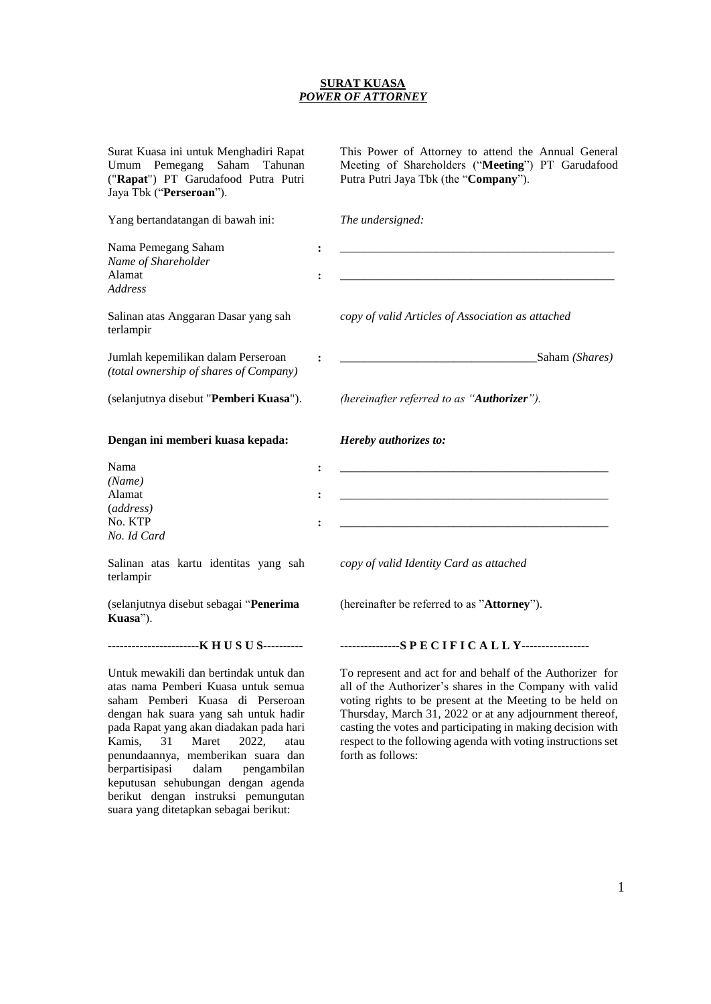## **SURAT KUASA** *POWER OF ATTORNEY*

| Surat Kuasa ini untuk Menghadiri Rapat<br>Umum Pemegang<br>Saham<br>Tahunan<br>("Rapat") PT Garudafood Putra Putri<br>Jaya Tbk ("Perseroan").              |                                                    | This Power of Attorney to attend the Annual General<br>Meeting of Shareholders ("Meeting") PT Garudafood<br>Putra Putri Jaya Tbk (the "Company").                                                                                            |
|------------------------------------------------------------------------------------------------------------------------------------------------------------|----------------------------------------------------|----------------------------------------------------------------------------------------------------------------------------------------------------------------------------------------------------------------------------------------------|
| Yang bertandatangan di bawah ini:                                                                                                                          |                                                    | The undersigned:                                                                                                                                                                                                                             |
| Nama Pemegang Saham<br>Name of Shareholder<br>Alamat<br><b>Address</b>                                                                                     | $\ddot{\cdot}$<br>$\ddot{\cdot}$                   |                                                                                                                                                                                                                                              |
| Salinan atas Anggaran Dasar yang sah<br>terlampir                                                                                                          |                                                    | copy of valid Articles of Association as attached                                                                                                                                                                                            |
| Jumlah kepemilikan dalam Perseroan<br>(total ownership of shares of Company)                                                                               |                                                    | Saham (Shares)                                                                                                                                                                                                                               |
| (selanjutnya disebut "Pemberi Kuasa").                                                                                                                     |                                                    | (hereinafter referred to as "Authorizer").                                                                                                                                                                                                   |
| Dengan ini memberi kuasa kepada:                                                                                                                           |                                                    | Hereby authorizes to:                                                                                                                                                                                                                        |
| Nama<br>(Name)<br>Alamat<br>(address)<br>No. KTP<br>No. Id Card                                                                                            | $\ddot{\cdot}$<br>$\ddot{\cdot}$<br>$\ddot{\cdot}$ |                                                                                                                                                                                                                                              |
| Salinan atas kartu identitas yang sah<br>terlampir                                                                                                         |                                                    | copy of valid Identity Card as attached                                                                                                                                                                                                      |
| (selanjutnya disebut sebagai "Penerima<br>Kuasa").                                                                                                         |                                                    | (hereinafter be referred to as "Attorney").                                                                                                                                                                                                  |
| ------------------------K H U S U S----------                                                                                                              |                                                    | ---------------SPECIFICALLY-----------------                                                                                                                                                                                                 |
| Untuk mewakili dan bertindak untuk dan<br>atas nama Pemberi Kuasa untuk semua<br>saham Pemberi Kuasa di Perseroan<br>dengan hak suara yang sah untuk hadir |                                                    | To represent and act for and behalf of the Authorizer for<br>all of the Authorizer's shares in the Company with valid<br>voting rights to be present at the Meeting to be held on<br>Thursday, March 31, 2022 or at any adjournment thereof, |

forth as follows:

dengan hak suara yang sah untuk hadir pada Rapat yang akan diadakan pada hari Kamis, 31 Maret 2022, atau penundaannya, memberikan suara dan berpartisipasi dalam pengambilan keputusan sehubungan dengan agenda berikut dengan instruksi pemungutan suara yang ditetapkan sebagai berikut:

casting the votes and participating in making decision with respect to the following agenda with voting instructions set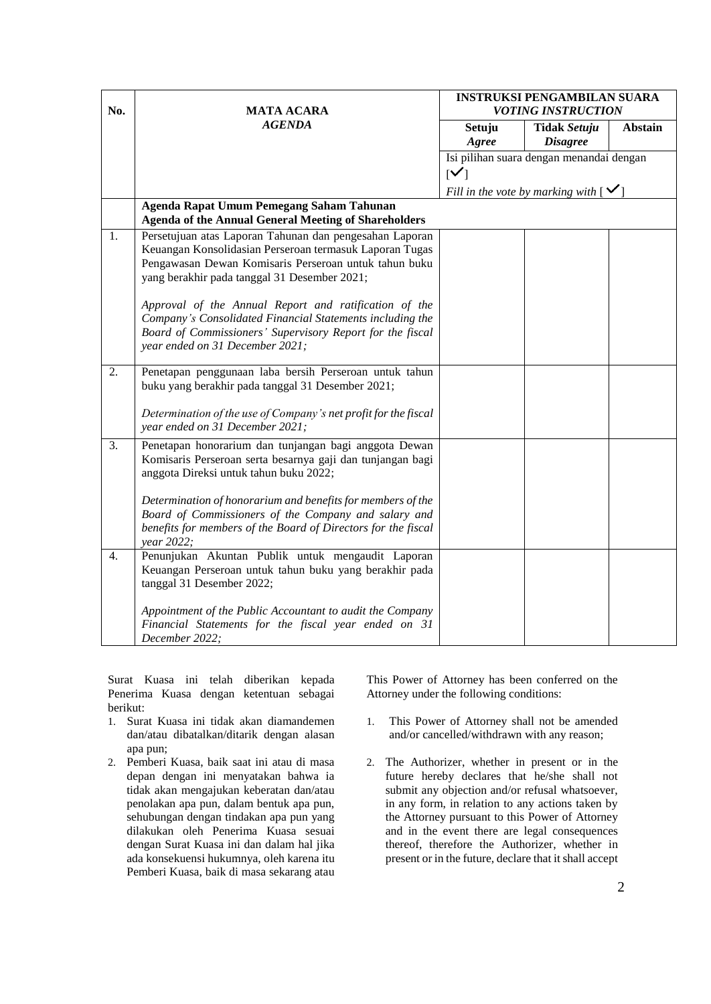| No.              | <b>MATA ACARA</b>                                                                                                                                                                                                           | <b>INSTRUKSI PENGAMBILAN SUARA</b><br><b>VOTING INSTRUCTION</b> |                                          |                |
|------------------|-----------------------------------------------------------------------------------------------------------------------------------------------------------------------------------------------------------------------------|-----------------------------------------------------------------|------------------------------------------|----------------|
|                  | <b>AGENDA</b>                                                                                                                                                                                                               | Setuju<br>Agree                                                 | <b>Tidak Setuju</b><br><b>Disagree</b>   | <b>Abstain</b> |
|                  |                                                                                                                                                                                                                             |                                                                 | Isi pilihan suara dengan menandai dengan |                |
|                  |                                                                                                                                                                                                                             | $\mathsf{N}$                                                    |                                          |                |
|                  | Agenda Rapat Umum Pemegang Saham Tahunan                                                                                                                                                                                    | Fill in the vote by marking with [                              |                                          |                |
|                  | <b>Agenda of the Annual General Meeting of Shareholders</b>                                                                                                                                                                 |                                                                 |                                          |                |
| 1.               | Persetujuan atas Laporan Tahunan dan pengesahan Laporan<br>Keuangan Konsolidasian Perseroan termasuk Laporan Tugas<br>Pengawasan Dewan Komisaris Perseroan untuk tahun buku<br>yang berakhir pada tanggal 31 Desember 2021; |                                                                 |                                          |                |
|                  | Approval of the Annual Report and ratification of the<br>Company's Consolidated Financial Statements including the<br>Board of Commissioners' Supervisory Report for the fiscal<br>year ended on 31 December 2021;          |                                                                 |                                          |                |
| 2.               | Penetapan penggunaan laba bersih Perseroan untuk tahun<br>buku yang berakhir pada tanggal 31 Desember 2021;                                                                                                                 |                                                                 |                                          |                |
|                  | Determination of the use of Company's net profit for the fiscal<br>year ended on 31 December 2021;                                                                                                                          |                                                                 |                                          |                |
| $\overline{3}$ . | Penetapan honorarium dan tunjangan bagi anggota Dewan<br>Komisaris Perseroan serta besarnya gaji dan tunjangan bagi<br>anggota Direksi untuk tahun buku 2022;                                                               |                                                                 |                                          |                |
|                  | Determination of honorarium and benefits for members of the<br>Board of Commissioners of the Company and salary and<br>benefits for members of the Board of Directors for the fiscal<br>year 2022;                          |                                                                 |                                          |                |
| $\overline{4}$ . | Penunjukan Akuntan Publik untuk mengaudit Laporan<br>Keuangan Perseroan untuk tahun buku yang berakhir pada<br>tanggal 31 Desember 2022;                                                                                    |                                                                 |                                          |                |
|                  | Appointment of the Public Accountant to audit the Company<br>Financial Statements for the fiscal year ended on 31<br>December 2022;                                                                                         |                                                                 |                                          |                |

Surat Kuasa ini telah diberikan kepada Penerima Kuasa dengan ketentuan sebagai berikut:

- 1. Surat Kuasa ini tidak akan diamandemen dan/atau dibatalkan/ditarik dengan alasan apa pun;
- 2. Pemberi Kuasa, baik saat ini atau di masa depan dengan ini menyatakan bahwa ia tidak akan mengajukan keberatan dan/atau penolakan apa pun, dalam bentuk apa pun, sehubungan dengan tindakan apa pun yang dilakukan oleh Penerima Kuasa sesuai dengan Surat Kuasa ini dan dalam hal jika ada konsekuensi hukumnya, oleh karena itu Pemberi Kuasa, baik di masa sekarang atau

This Power of Attorney has been conferred on the Attorney under the following conditions:

- 1. This Power of Attorney shall not be amended and/or cancelled/withdrawn with any reason;
- 2. The Authorizer, whether in present or in the future hereby declares that he/she shall not submit any objection and/or refusal whatsoever, in any form, in relation to any actions taken by the Attorney pursuant to this Power of Attorney and in the event there are legal consequences thereof, therefore the Authorizer, whether in present or in the future, declare that it shall accept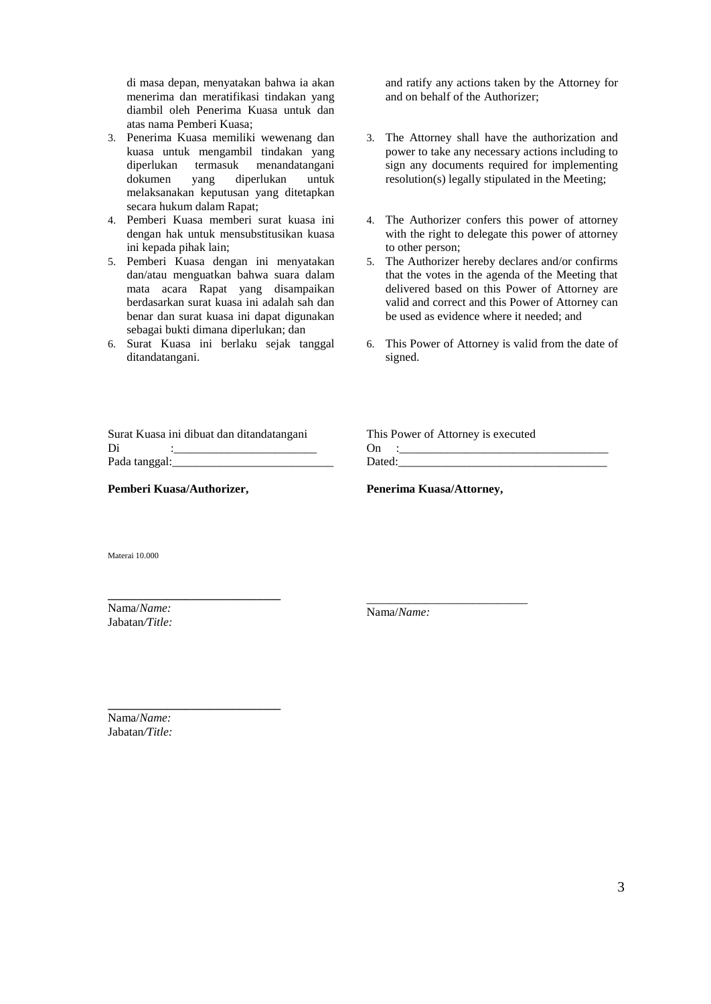di masa depan, menyatakan bahwa ia akan menerima dan meratifikasi tindakan yang diambil oleh Penerima Kuasa untuk dan atas nama Pemberi Kuasa;

- 3. Penerima Kuasa memiliki wewenang dan kuasa untuk mengambil tindakan yang diperlukan termasuk menandatangani<br>dokumen yang diperlukan untuk diperlukan untuk melaksanakan keputusan yang ditetapkan secara hukum dalam Rapat;
- 4. Pemberi Kuasa memberi surat kuasa ini dengan hak untuk mensubstitusikan kuasa ini kepada pihak lain;
- 5. Pemberi Kuasa dengan ini menyatakan dan/atau menguatkan bahwa suara dalam mata acara Rapat yang disampaikan berdasarkan surat kuasa ini adalah sah dan benar dan surat kuasa ini dapat digunakan sebagai bukti dimana diperlukan; dan
- 6. Surat Kuasa ini berlaku sejak tanggal ditandatangani.

and ratify any actions taken by the Attorney for and on behalf of the Authorizer;

- 3. The Attorney shall have the authorization and power to take any necessary actions including to sign any documents required for implementing resolution(s) legally stipulated in the Meeting;
- 4. The Authorizer confers this power of attorney with the right to delegate this power of attorney to other person;
- 5. The Authorizer hereby declares and/or confirms that the votes in the agenda of the Meeting that delivered based on this Power of Attorney are valid and correct and this Power of Attorney can be used as evidence where it needed; and
- 6. This Power of Attorney is valid from the date of signed.

|               | Surat Kuasa ini dibuat dan ditandatangani |
|---------------|-------------------------------------------|
| Di            |                                           |
| Pada tanggal: |                                           |

**Pemberi Kuasa/Authorizer,**

**\_\_\_\_\_\_\_\_\_\_\_\_\_\_\_\_\_\_\_\_\_\_\_\_\_\_\_\_\_**

**\_\_\_\_\_\_\_\_\_\_\_\_\_\_\_\_\_\_\_\_\_\_\_\_\_\_\_\_\_**

This Power of Attorney is executed On :\_\_\_\_\_\_\_\_\_\_\_\_\_\_\_\_\_\_\_\_\_\_\_\_\_\_\_\_\_\_\_\_\_\_\_ Dated:

**Penerima Kuasa/Attorney,**

\_\_\_\_\_\_\_\_\_\_\_\_\_\_\_\_\_\_\_\_\_\_\_\_\_\_\_

Materai 10.000

Nama/*Name:* Jabatan*/Title:*

Nama/*Name:*

Nama/*Name:* Jabatan*/Title:*